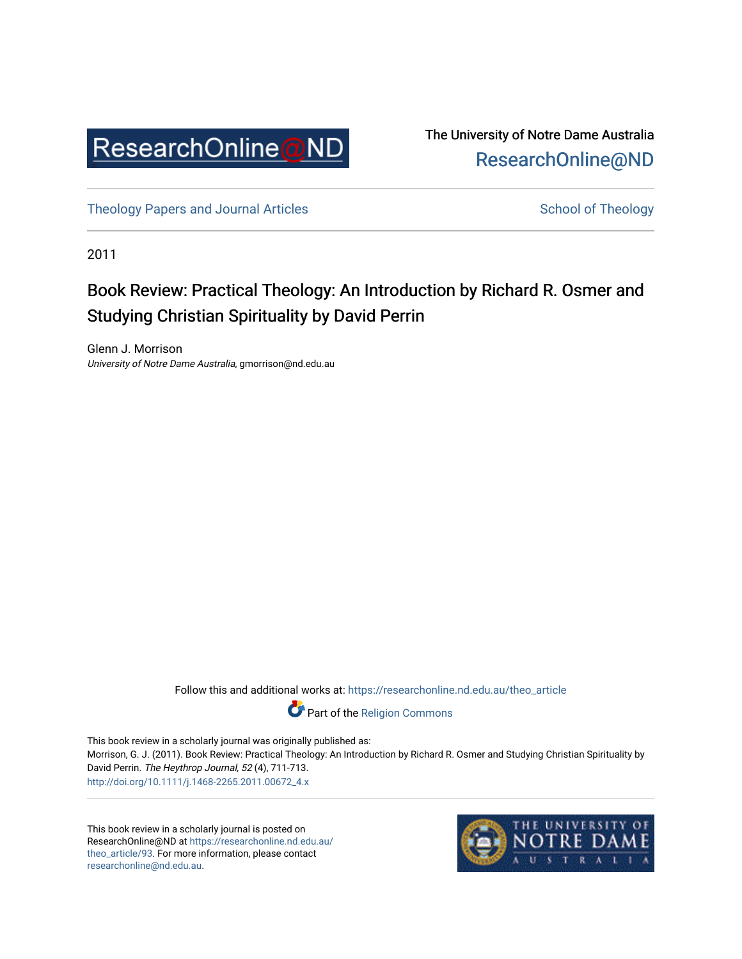

The University of Notre Dame Australia [ResearchOnline@ND](https://researchonline.nd.edu.au/) 

[Theology Papers and Journal Articles](https://researchonline.nd.edu.au/theo_article) and [School of Theology](https://researchonline.nd.edu.au/theo) School of Theology

2011

## Book Review: Practical Theology: An Introduction by Richard R. Osmer and Studying Christian Spirituality by David Perrin

Glenn J. Morrison University of Notre Dame Australia, gmorrison@nd.edu.au

Follow this and additional works at: [https://researchonline.nd.edu.au/theo\\_article](https://researchonline.nd.edu.au/theo_article?utm_source=researchonline.nd.edu.au%2Ftheo_article%2F93&utm_medium=PDF&utm_campaign=PDFCoverPages) 



This book review in a scholarly journal was originally published as: Morrison, G. J. (2011). Book Review: Practical Theology: An Introduction by Richard R. Osmer and Studying Christian Spirituality by David Perrin. The Heythrop Journal, 52 (4), 711-713. [http://doi.org/10.1111/j.1468-2265.2011.00672\\_4.x](http://doi.org/10.1111/j.1468-2265.2011.00672_4.x)

This book review in a scholarly journal is posted on ResearchOnline@ND at [https://researchonline.nd.edu.au/](https://researchonline.nd.edu.au/theo_article/93) [theo\\_article/93.](https://researchonline.nd.edu.au/theo_article/93) For more information, please contact [researchonline@nd.edu.au.](mailto:researchonline@nd.edu.au)

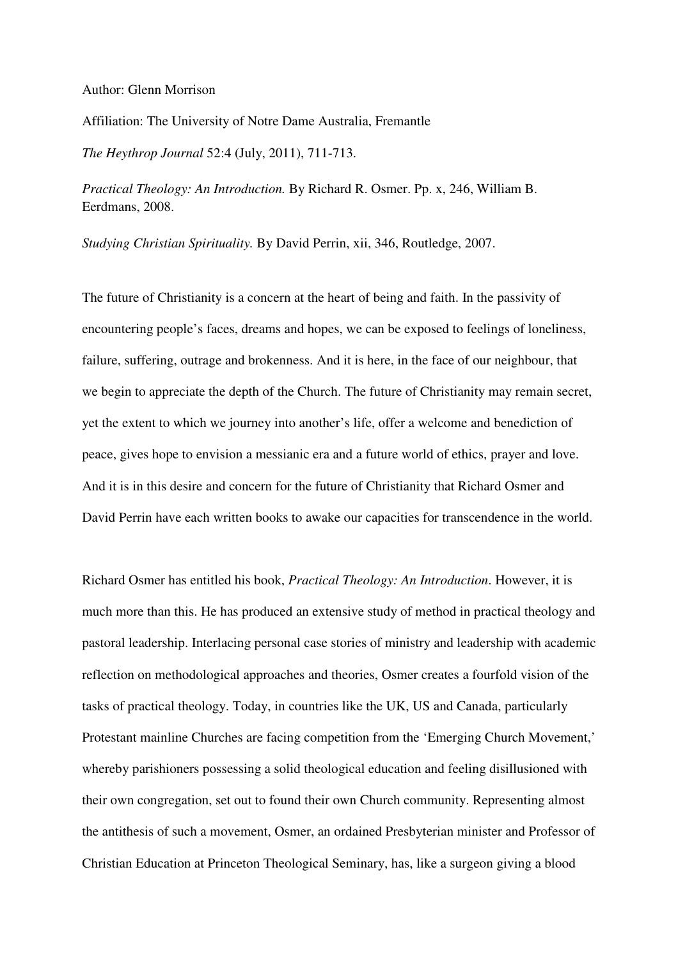## Author: Glenn Morrison

Affiliation: The University of Notre Dame Australia, Fremantle

*The Heythrop Journal* 52:4 (July, 2011), 711-713.

*Practical Theology: An Introduction.* By Richard R. Osmer. Pp. x, 246, William B. Eerdmans, 2008.

*Studying Christian Spirituality.* By David Perrin, xii, 346, Routledge, 2007.

The future of Christianity is a concern at the heart of being and faith. In the passivity of encountering people's faces, dreams and hopes, we can be exposed to feelings of loneliness, failure, suffering, outrage and brokenness. And it is here, in the face of our neighbour, that we begin to appreciate the depth of the Church. The future of Christianity may remain secret, yet the extent to which we journey into another's life, offer a welcome and benediction of peace, gives hope to envision a messianic era and a future world of ethics, prayer and love. And it is in this desire and concern for the future of Christianity that Richard Osmer and David Perrin have each written books to awake our capacities for transcendence in the world.

Richard Osmer has entitled his book, *Practical Theology: An Introduction*. However, it is much more than this. He has produced an extensive study of method in practical theology and pastoral leadership. Interlacing personal case stories of ministry and leadership with academic reflection on methodological approaches and theories, Osmer creates a fourfold vision of the tasks of practical theology. Today, in countries like the UK, US and Canada, particularly Protestant mainline Churches are facing competition from the 'Emerging Church Movement,' whereby parishioners possessing a solid theological education and feeling disillusioned with their own congregation, set out to found their own Church community. Representing almost the antithesis of such a movement, Osmer, an ordained Presbyterian minister and Professor of Christian Education at Princeton Theological Seminary, has, like a surgeon giving a blood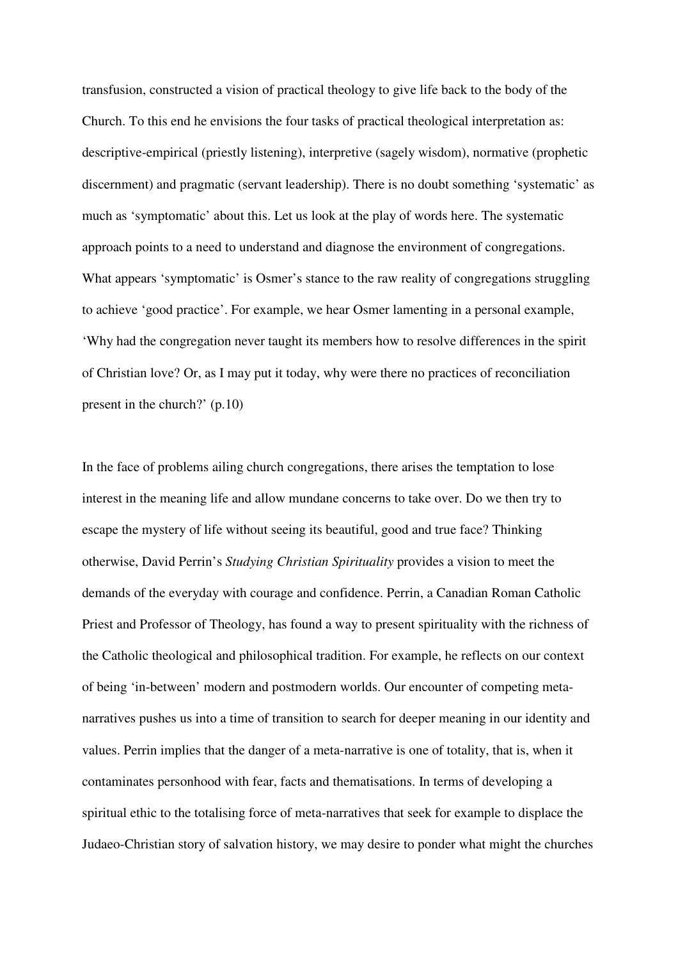transfusion, constructed a vision of practical theology to give life back to the body of the Church. To this end he envisions the four tasks of practical theological interpretation as: descriptive-empirical (priestly listening), interpretive (sagely wisdom), normative (prophetic discernment) and pragmatic (servant leadership). There is no doubt something 'systematic' as much as 'symptomatic' about this. Let us look at the play of words here. The systematic approach points to a need to understand and diagnose the environment of congregations. What appears 'symptomatic' is Osmer's stance to the raw reality of congregations struggling to achieve 'good practice'. For example, we hear Osmer lamenting in a personal example, 'Why had the congregation never taught its members how to resolve differences in the spirit of Christian love? Or, as I may put it today, why were there no practices of reconciliation present in the church?' (p.10)

In the face of problems ailing church congregations, there arises the temptation to lose interest in the meaning life and allow mundane concerns to take over. Do we then try to escape the mystery of life without seeing its beautiful, good and true face? Thinking otherwise, David Perrin's *Studying Christian Spirituality* provides a vision to meet the demands of the everyday with courage and confidence. Perrin, a Canadian Roman Catholic Priest and Professor of Theology, has found a way to present spirituality with the richness of the Catholic theological and philosophical tradition. For example, he reflects on our context of being 'in-between' modern and postmodern worlds. Our encounter of competing metanarratives pushes us into a time of transition to search for deeper meaning in our identity and values. Perrin implies that the danger of a meta-narrative is one of totality, that is, when it contaminates personhood with fear, facts and thematisations. In terms of developing a spiritual ethic to the totalising force of meta-narratives that seek for example to displace the Judaeo-Christian story of salvation history, we may desire to ponder what might the churches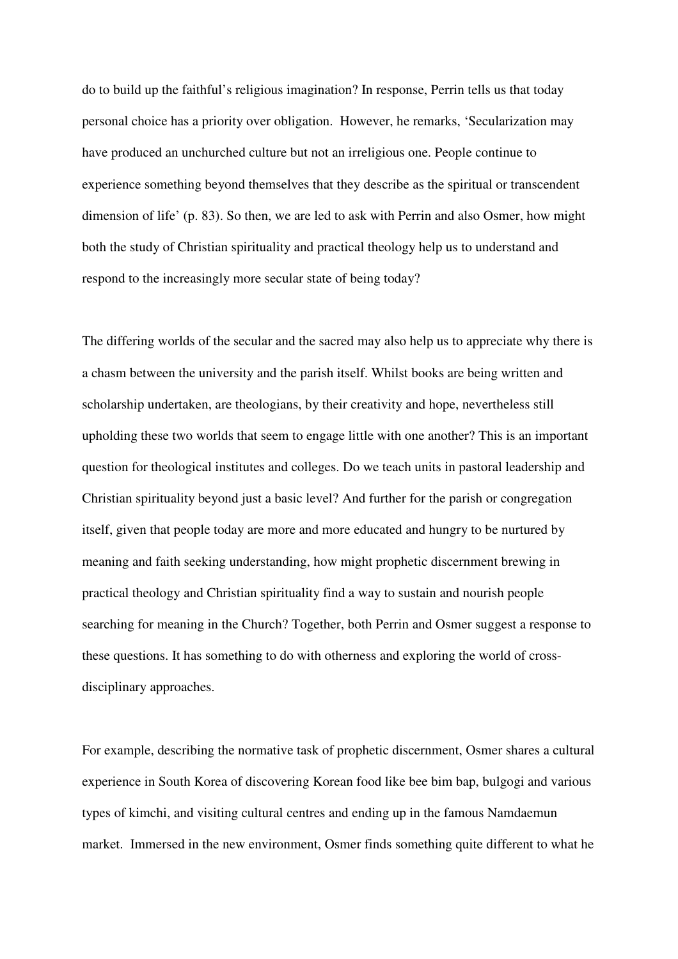do to build up the faithful's religious imagination? In response, Perrin tells us that today personal choice has a priority over obligation. However, he remarks, 'Secularization may have produced an unchurched culture but not an irreligious one. People continue to experience something beyond themselves that they describe as the spiritual or transcendent dimension of life' (p. 83). So then, we are led to ask with Perrin and also Osmer, how might both the study of Christian spirituality and practical theology help us to understand and respond to the increasingly more secular state of being today?

The differing worlds of the secular and the sacred may also help us to appreciate why there is a chasm between the university and the parish itself. Whilst books are being written and scholarship undertaken, are theologians, by their creativity and hope, nevertheless still upholding these two worlds that seem to engage little with one another? This is an important question for theological institutes and colleges. Do we teach units in pastoral leadership and Christian spirituality beyond just a basic level? And further for the parish or congregation itself, given that people today are more and more educated and hungry to be nurtured by meaning and faith seeking understanding, how might prophetic discernment brewing in practical theology and Christian spirituality find a way to sustain and nourish people searching for meaning in the Church? Together, both Perrin and Osmer suggest a response to these questions. It has something to do with otherness and exploring the world of crossdisciplinary approaches.

For example, describing the normative task of prophetic discernment, Osmer shares a cultural experience in South Korea of discovering Korean food like bee bim bap, bulgogi and various types of kimchi, and visiting cultural centres and ending up in the famous Namdaemun market. Immersed in the new environment, Osmer finds something quite different to what he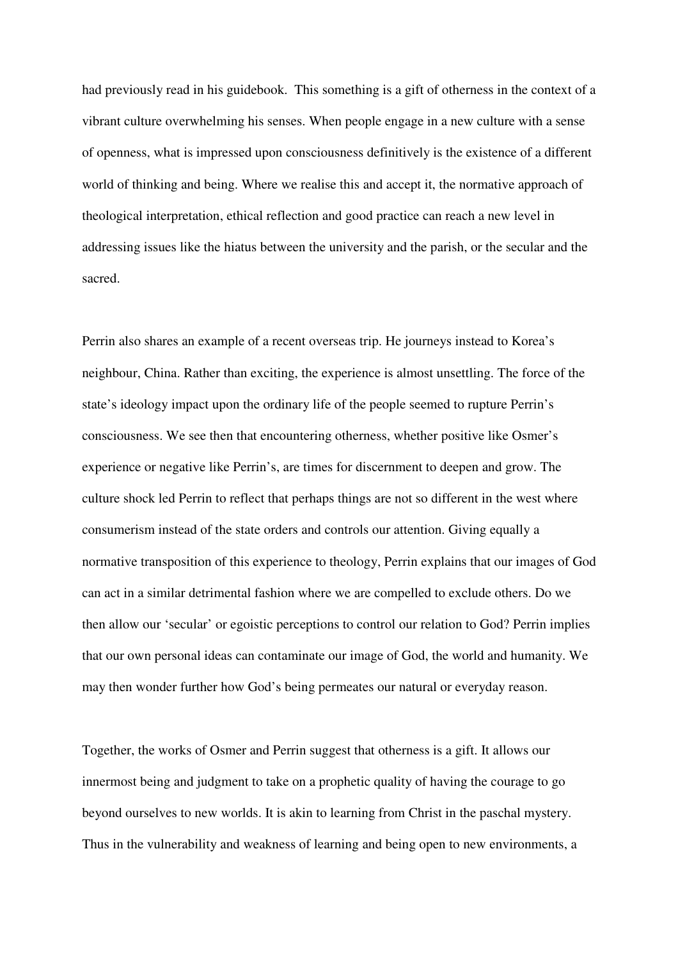had previously read in his guidebook. This something is a gift of otherness in the context of a vibrant culture overwhelming his senses. When people engage in a new culture with a sense of openness, what is impressed upon consciousness definitively is the existence of a different world of thinking and being. Where we realise this and accept it, the normative approach of theological interpretation, ethical reflection and good practice can reach a new level in addressing issues like the hiatus between the university and the parish, or the secular and the sacred.

Perrin also shares an example of a recent overseas trip. He journeys instead to Korea's neighbour, China. Rather than exciting, the experience is almost unsettling. The force of the state's ideology impact upon the ordinary life of the people seemed to rupture Perrin's consciousness. We see then that encountering otherness, whether positive like Osmer's experience or negative like Perrin's, are times for discernment to deepen and grow. The culture shock led Perrin to reflect that perhaps things are not so different in the west where consumerism instead of the state orders and controls our attention. Giving equally a normative transposition of this experience to theology, Perrin explains that our images of God can act in a similar detrimental fashion where we are compelled to exclude others. Do we then allow our 'secular' or egoistic perceptions to control our relation to God? Perrin implies that our own personal ideas can contaminate our image of God, the world and humanity. We may then wonder further how God's being permeates our natural or everyday reason.

Together, the works of Osmer and Perrin suggest that otherness is a gift. It allows our innermost being and judgment to take on a prophetic quality of having the courage to go beyond ourselves to new worlds. It is akin to learning from Christ in the paschal mystery. Thus in the vulnerability and weakness of learning and being open to new environments, a